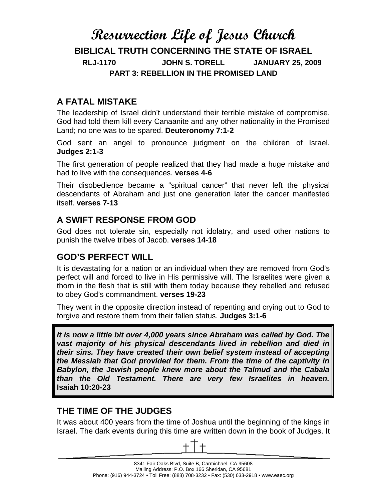# **Resurrection Life of Jesus Church BIBLICAL TRUTH CONCERNING THE STATE OF ISRAEL RLJ-1170 JOHN S. TORELL JANUARY 25, 2009 PART 3: REBELLION IN THE PROMISED LAND**

## **A FATAL MISTAKE**

The leadership of Israel didn't understand their terrible mistake of compromise. God had told them kill every Canaanite and any other nationality in the Promised Land; no one was to be spared. **Deuteronomy 7:1-2**

God sent an angel to pronounce judgment on the children of Israel. **Judges 2:1-3** 

The first generation of people realized that they had made a huge mistake and had to live with the consequences. **verses 4-6** 

Their disobedience became a "spiritual cancer" that never left the physical descendants of Abraham and just one generation later the cancer manifested itself. **verses 7-13**

### **A SWIFT RESPONSE FROM GOD**

God does not tolerate sin, especially not idolatry, and used other nations to punish the twelve tribes of Jacob. **verses 14-18** 

# **GOD'S PERFECT WILL**

It is devastating for a nation or an individual when they are removed from God's perfect will and forced to live in His permissive will. The Israelites were given a thorn in the flesh that is still with them today because they rebelled and refused to obey God's commandment. **verses 19-23**

They went in the opposite direction instead of repenting and crying out to God to forgive and restore them from their fallen status. **Judges 3:1-6** 

*It is now a little bit over 4,000 years since Abraham was called by God. The vast majority of his physical descendants lived in rebellion and died in their sins. They have created their own belief system instead of accepting the Messiah that God provided for them. From the time of the captivity in Babylon, the Jewish people knew more about the Talmud and the Cabala than the Old Testament. There are very few Israelites in heaven.* **Isaiah 10:20-23**

#### **THE TIME OF THE JUDGES**

It was about 400 years from the time of Joshua until the beginning of the kings in Israel. The dark events during this time are written down in the book of Judges. It